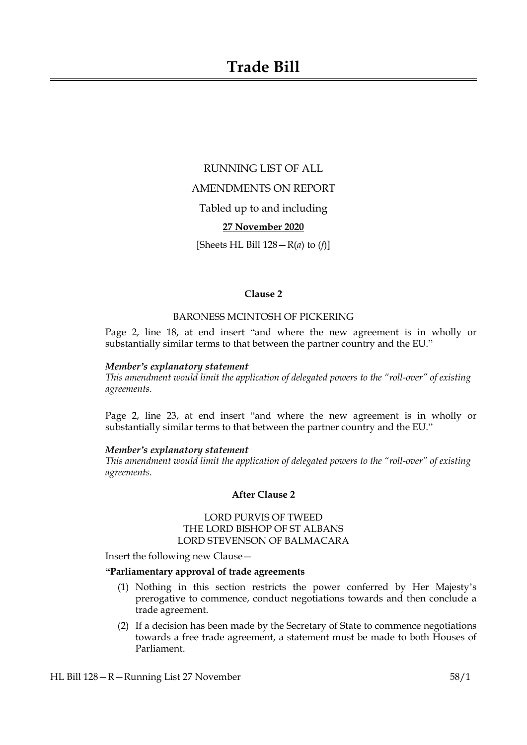# **Trade Bill**

RUNNING LIST OF ALL AMENDMENTS ON REPORT Tabled up to and including **27 November 2020** [Sheets HL Bill 128—R(*a*) to (*f*)]

## **Clause 2**

# BARONESS MCINTOSH OF PICKERING

Page 2, line 18, at end insert "and where the new agreement is in wholly or substantially similar terms to that between the partner country and the EU."

#### *Member's explanatory statement*

*This amendment would limit the application of delegated powers to the "roll-over" of existing agreements.*

Page 2, line 23, at end insert "and where the new agreement is in wholly or substantially similar terms to that between the partner country and the EU."

## *Member's explanatory statement*

*This amendment would limit the application of delegated powers to the "roll-over" of existing agreements.*

# **After Clause 2**

# LORD PURVIS OF TWEED THE LORD BISHOP OF ST ALBANS LORD STEVENSON OF BALMACARA

Insert the following new Clause—

#### **"Parliamentary approval of trade agreements**

- (1) Nothing in this section restricts the power conferred by Her Majesty's prerogative to commence, conduct negotiations towards and then conclude a trade agreement.
- (2) If a decision has been made by the Secretary of State to commence negotiations towards a free trade agreement, a statement must be made to both Houses of Parliament.

HL Bill 128—R—Running List 27 November 58/1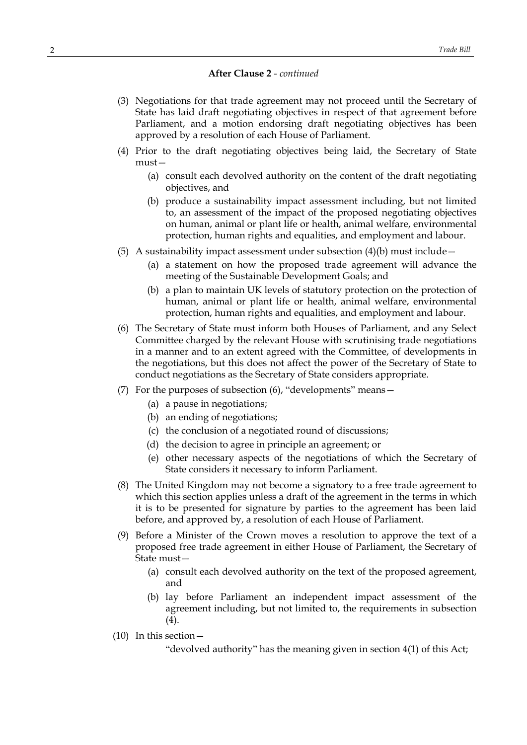- (3) Negotiations for that trade agreement may not proceed until the Secretary of State has laid draft negotiating objectives in respect of that agreement before Parliament, and a motion endorsing draft negotiating objectives has been approved by a resolution of each House of Parliament.
- (4) Prior to the draft negotiating objectives being laid, the Secretary of State must—
	- (a) consult each devolved authority on the content of the draft negotiating objectives, and
	- (b) produce a sustainability impact assessment including, but not limited to, an assessment of the impact of the proposed negotiating objectives on human, animal or plant life or health, animal welfare, environmental protection, human rights and equalities, and employment and labour.
- (5) A sustainability impact assessment under subsection  $(4)(b)$  must include -
	- (a) a statement on how the proposed trade agreement will advance the meeting of the Sustainable Development Goals; and
	- (b) a plan to maintain UK levels of statutory protection on the protection of human, animal or plant life or health, animal welfare, environmental protection, human rights and equalities, and employment and labour.
- (6) The Secretary of State must inform both Houses of Parliament, and any Select Committee charged by the relevant House with scrutinising trade negotiations in a manner and to an extent agreed with the Committee, of developments in the negotiations, but this does not affect the power of the Secretary of State to conduct negotiations as the Secretary of State considers appropriate.
- (7) For the purposes of subsection (6), "developments" means—
	- (a) a pause in negotiations;
	- (b) an ending of negotiations;
	- (c) the conclusion of a negotiated round of discussions;
	- (d) the decision to agree in principle an agreement; or
	- (e) other necessary aspects of the negotiations of which the Secretary of State considers it necessary to inform Parliament.
- (8) The United Kingdom may not become a signatory to a free trade agreement to which this section applies unless a draft of the agreement in the terms in which it is to be presented for signature by parties to the agreement has been laid before, and approved by, a resolution of each House of Parliament.
- (9) Before a Minister of the Crown moves a resolution to approve the text of a proposed free trade agreement in either House of Parliament, the Secretary of State must—
	- (a) consult each devolved authority on the text of the proposed agreement, and
	- (b) lay before Parliament an independent impact assessment of the agreement including, but not limited to, the requirements in subsection (4).
- (10) In this section—

"devolved authority" has the meaning given in section 4(1) of this Act;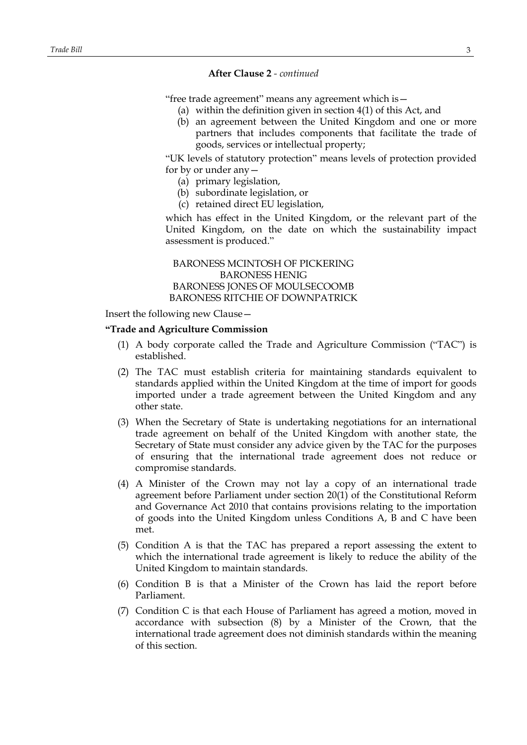"free trade agreement" means any agreement which is—

- (a) within the definition given in section 4(1) of this Act, and
- (b) an agreement between the United Kingdom and one or more partners that includes components that facilitate the trade of goods, services or intellectual property;

"UK levels of statutory protection" means levels of protection provided for by or under any—

- (a) primary legislation,
- (b) subordinate legislation, or
- (c) retained direct EU legislation,

which has effect in the United Kingdom, or the relevant part of the United Kingdom, on the date on which the sustainability impact assessment is produced."

BARONESS MCINTOSH OF PICKERING BARONESS HENIG BARONESS JONES OF MOULSECOOMB BARONESS RITCHIE OF DOWNPATRICK

Insert the following new Clause—

## **"Trade and Agriculture Commission**

- (1) A body corporate called the Trade and Agriculture Commission ("TAC") is established.
- (2) The TAC must establish criteria for maintaining standards equivalent to standards applied within the United Kingdom at the time of import for goods imported under a trade agreement between the United Kingdom and any other state.
- (3) When the Secretary of State is undertaking negotiations for an international trade agreement on behalf of the United Kingdom with another state, the Secretary of State must consider any advice given by the TAC for the purposes of ensuring that the international trade agreement does not reduce or compromise standards.
- (4) A Minister of the Crown may not lay a copy of an international trade agreement before Parliament under section 20(1) of the Constitutional Reform and Governance Act 2010 that contains provisions relating to the importation of goods into the United Kingdom unless Conditions A, B and C have been met.
- (5) Condition A is that the TAC has prepared a report assessing the extent to which the international trade agreement is likely to reduce the ability of the United Kingdom to maintain standards.
- (6) Condition B is that a Minister of the Crown has laid the report before Parliament.
- (7) Condition C is that each House of Parliament has agreed a motion, moved in accordance with subsection (8) by a Minister of the Crown, that the international trade agreement does not diminish standards within the meaning of this section.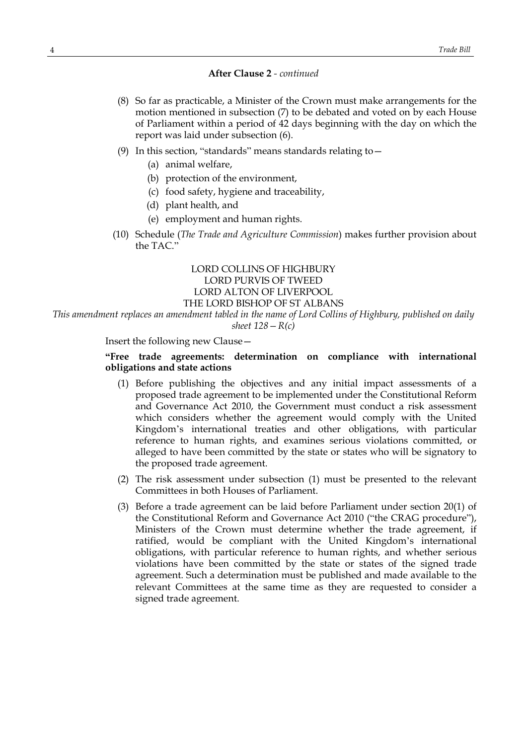- (8) So far as practicable, a Minister of the Crown must make arrangements for the motion mentioned in subsection (7) to be debated and voted on by each House of Parliament within a period of 42 days beginning with the day on which the report was laid under subsection (6).
- (9) In this section, "standards" means standards relating to  $-$ 
	- (a) animal welfare,
	- (b) protection of the environment,
	- (c) food safety, hygiene and traceability,
	- (d) plant health, and
	- (e) employment and human rights.
- (10) Schedule (*The Trade and Agriculture Commission*) makes further provision about the TAC."

# LORD COLLINS OF HIGHBURY LORD PURVIS OF TWEED LORD ALTON OF LIVERPOOL THE LORD BISHOP OF ST ALBANS

*This amendment replaces an amendment tabled in the name of Lord Collins of Highbury, published on daily sheet 128—R(c)*

Insert the following new Clause—

## **"Free trade agreements: determination on compliance with international obligations and state actions**

- (1) Before publishing the objectives and any initial impact assessments of a proposed trade agreement to be implemented under the Constitutional Reform and Governance Act 2010, the Government must conduct a risk assessment which considers whether the agreement would comply with the United Kingdom's international treaties and other obligations, with particular reference to human rights, and examines serious violations committed, or alleged to have been committed by the state or states who will be signatory to the proposed trade agreement.
- (2) The risk assessment under subsection (1) must be presented to the relevant Committees in both Houses of Parliament.
- (3) Before a trade agreement can be laid before Parliament under section 20(1) of the Constitutional Reform and Governance Act 2010 ("the CRAG procedure"), Ministers of the Crown must determine whether the trade agreement, if ratified, would be compliant with the United Kingdom's international obligations, with particular reference to human rights, and whether serious violations have been committed by the state or states of the signed trade agreement. Such a determination must be published and made available to the relevant Committees at the same time as they are requested to consider a signed trade agreement.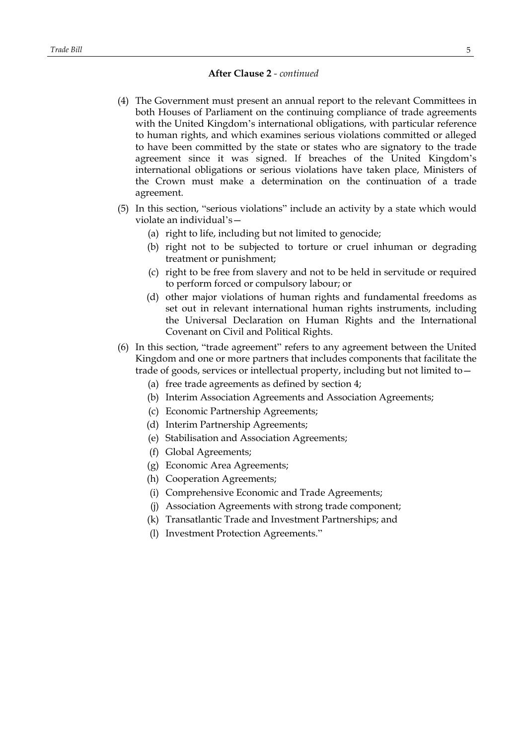- (4) The Government must present an annual report to the relevant Committees in both Houses of Parliament on the continuing compliance of trade agreements with the United Kingdom's international obligations, with particular reference to human rights, and which examines serious violations committed or alleged to have been committed by the state or states who are signatory to the trade agreement since it was signed. If breaches of the United Kingdom's international obligations or serious violations have taken place, Ministers of the Crown must make a determination on the continuation of a trade agreement.
- (5) In this section, "serious violations" include an activity by a state which would violate an individual's—
	- (a) right to life, including but not limited to genocide;
	- (b) right not to be subjected to torture or cruel inhuman or degrading treatment or punishment;
	- (c) right to be free from slavery and not to be held in servitude or required to perform forced or compulsory labour; or
	- (d) other major violations of human rights and fundamental freedoms as set out in relevant international human rights instruments, including the Universal Declaration on Human Rights and the International Covenant on Civil and Political Rights.
- (6) In this section, "trade agreement" refers to any agreement between the United Kingdom and one or more partners that includes components that facilitate the trade of goods, services or intellectual property, including but not limited to—
	- (a) free trade agreements as defined by section 4;
	- (b) Interim Association Agreements and Association Agreements;
	- (c) Economic Partnership Agreements;
	- (d) Interim Partnership Agreements;
	- (e) Stabilisation and Association Agreements;
	- (f) Global Agreements;
	- (g) Economic Area Agreements;
	- (h) Cooperation Agreements;
	- (i) Comprehensive Economic and Trade Agreements;
	- (j) Association Agreements with strong trade component;
	- (k) Transatlantic Trade and Investment Partnerships; and
	- (l) Investment Protection Agreements."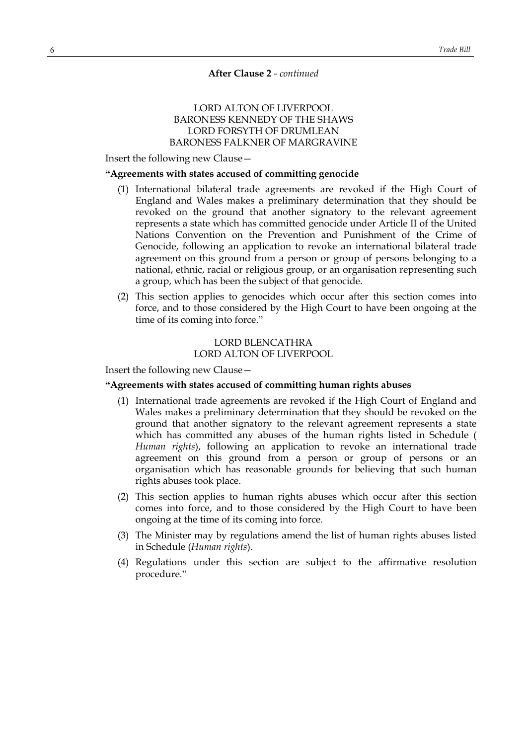# LORD ALTON OF LIVERPOOL BARONESS KENNEDY OF THE SHAWS LORD FORSYTH OF DRUMLEAN BARONESS FALKNER OF MARGRAVINE

Insert the following new Clause—

## **"Agreements with states accused of committing genocide**

- (1) International bilateral trade agreements are revoked if the High Court of England and Wales makes a preliminary determination that they should be revoked on the ground that another signatory to the relevant agreement represents a state which has committed genocide under Article II of the United Nations Convention on the Prevention and Punishment of the Crime of Genocide, following an application to revoke an international bilateral trade agreement on this ground from a person or group of persons belonging to a national, ethnic, racial or religious group, or an organisation representing such a group, which has been the subject of that genocide.
- (2) This section applies to genocides which occur after this section comes into force, and to those considered by the High Court to have been ongoing at the time of its coming into force."

# LORD BLENCATHRA LORD ALTON OF LIVERPOOL

Insert the following new Clause—

#### **"Agreements with states accused of committing human rights abuses**

- (1) International trade agreements are revoked if the High Court of England and Wales makes a preliminary determination that they should be revoked on the ground that another signatory to the relevant agreement represents a state which has committed any abuses of the human rights listed in Schedule ( *Human rights*), following an application to revoke an international trade agreement on this ground from a person or group of persons or an organisation which has reasonable grounds for believing that such human rights abuses took place.
- (2) This section applies to human rights abuses which occur after this section comes into force, and to those considered by the High Court to have been ongoing at the time of its coming into force.
- (3) The Minister may by regulations amend the list of human rights abuses listed in Schedule (*Human rights*).
- (4) Regulations under this section are subject to the affirmative resolution procedure."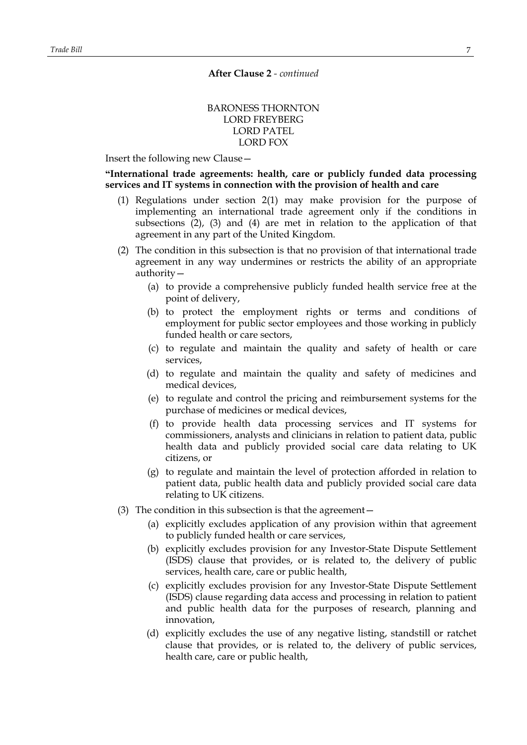# BARONESS THORNTON LORD FREYBERG LORD PATEL LORD FOX

Insert the following new Clause—

**"International trade agreements: health, care or publicly funded data processing services and IT systems in connection with the provision of health and care**

- (1) Regulations under section 2(1) may make provision for the purpose of implementing an international trade agreement only if the conditions in subsections (2), (3) and (4) are met in relation to the application of that agreement in any part of the United Kingdom.
- (2) The condition in this subsection is that no provision of that international trade agreement in any way undermines or restricts the ability of an appropriate authority—
	- (a) to provide a comprehensive publicly funded health service free at the point of delivery,
	- (b) to protect the employment rights or terms and conditions of employment for public sector employees and those working in publicly funded health or care sectors,
	- (c) to regulate and maintain the quality and safety of health or care services,
	- (d) to regulate and maintain the quality and safety of medicines and medical devices,
	- (e) to regulate and control the pricing and reimbursement systems for the purchase of medicines or medical devices,
	- (f) to provide health data processing services and IT systems for commissioners, analysts and clinicians in relation to patient data, public health data and publicly provided social care data relating to UK citizens, or
	- (g) to regulate and maintain the level of protection afforded in relation to patient data, public health data and publicly provided social care data relating to UK citizens.
- (3) The condition in this subsection is that the agreement—
	- (a) explicitly excludes application of any provision within that agreement to publicly funded health or care services,
	- (b) explicitly excludes provision for any Investor-State Dispute Settlement (ISDS) clause that provides, or is related to, the delivery of public services, health care, care or public health,
	- (c) explicitly excludes provision for any Investor-State Dispute Settlement (ISDS) clause regarding data access and processing in relation to patient and public health data for the purposes of research, planning and innovation,
	- (d) explicitly excludes the use of any negative listing, standstill or ratchet clause that provides, or is related to, the delivery of public services, health care, care or public health,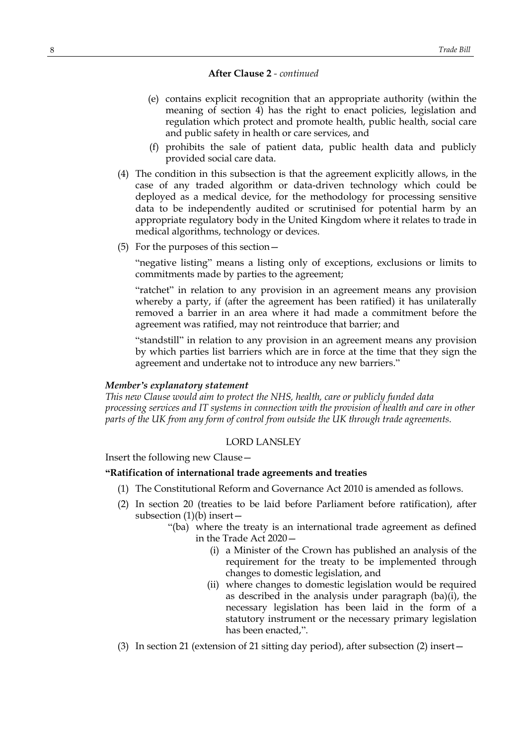- (e) contains explicit recognition that an appropriate authority (within the meaning of section 4) has the right to enact policies, legislation and regulation which protect and promote health, public health, social care and public safety in health or care services, and
- (f) prohibits the sale of patient data, public health data and publicly provided social care data.
- (4) The condition in this subsection is that the agreement explicitly allows, in the case of any traded algorithm or data-driven technology which could be deployed as a medical device, for the methodology for processing sensitive data to be independently audited or scrutinised for potential harm by an appropriate regulatory body in the United Kingdom where it relates to trade in medical algorithms, technology or devices.
- (5) For the purposes of this section—

"negative listing" means a listing only of exceptions, exclusions or limits to commitments made by parties to the agreement;

"ratchet" in relation to any provision in an agreement means any provision whereby a party, if (after the agreement has been ratified) it has unilaterally removed a barrier in an area where it had made a commitment before the agreement was ratified, may not reintroduce that barrier; and

"standstill" in relation to any provision in an agreement means any provision by which parties list barriers which are in force at the time that they sign the agreement and undertake not to introduce any new barriers."

# *Member's explanatory statement*

*This new Clause would aim to protect the NHS, health, care or publicly funded data processing services and IT systems in connection with the provision of health and care in other parts of the UK from any form of control from outside the UK through trade agreements.*

## LORD LANSLEY

Insert the following new Clause—

## **"Ratification of international trade agreements and treaties**

- (1) The Constitutional Reform and Governance Act 2010 is amended as follows.
- (2) In section 20 (treaties to be laid before Parliament before ratification), after subsection  $(1)(b)$  insert –
	- "(ba) where the treaty is an international trade agreement as defined in the Trade Act 2020—
		- (i) a Minister of the Crown has published an analysis of the requirement for the treaty to be implemented through changes to domestic legislation, and
		- (ii) where changes to domestic legislation would be required as described in the analysis under paragraph  $(ba)(i)$ , the necessary legislation has been laid in the form of a statutory instrument or the necessary primary legislation has been enacted,".
- (3) In section 21 (extension of 21 sitting day period), after subsection (2) insert—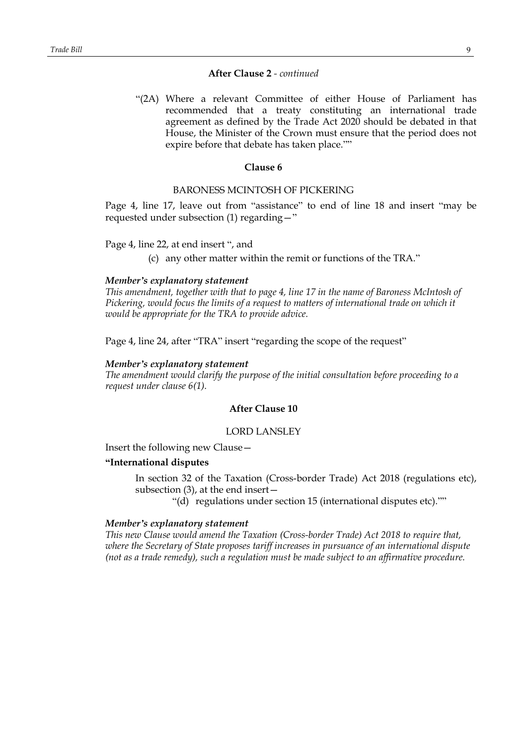"(2A) Where a relevant Committee of either House of Parliament has recommended that a treaty constituting an international trade agreement as defined by the Trade Act 2020 should be debated in that House, the Minister of the Crown must ensure that the period does not expire before that debate has taken place.""

#### **Clause 6**

## BARONESS MCINTOSH OF PICKERING

Page 4, line 17, leave out from "assistance" to end of line 18 and insert "may be requested under subsection (1) regarding—"

#### Page 4, line 22, at end insert ", and

(c) any other matter within the remit or functions of the TRA."

#### *Member's explanatory statement*

*This amendment, together with that to page 4, line 17 in the name of Baroness McIntosh of Pickering, would focus the limits of a request to matters of international trade on which it would be appropriate for the TRA to provide advice.*

Page 4, line 24, after "TRA" insert "regarding the scope of the request"

#### *Member's explanatory statement*

*The amendment would clarify the purpose of the initial consultation before proceeding to a request under clause 6(1).*

# **After Clause 10**

## LORD LANSLEY

Insert the following new Clause—

#### **"International disputes**

In section 32 of the Taxation (Cross-border Trade) Act 2018 (regulations etc), subsection (3), at the end insert—

"(d) regulations under section 15 (international disputes etc).""

#### *Member's explanatory statement*

*This new Clause would amend the Taxation (Cross-border Trade) Act 2018 to require that, where the Secretary of State proposes tariff increases in pursuance of an international dispute (not as a trade remedy), such a regulation must be made subject to an affirmative procedure.*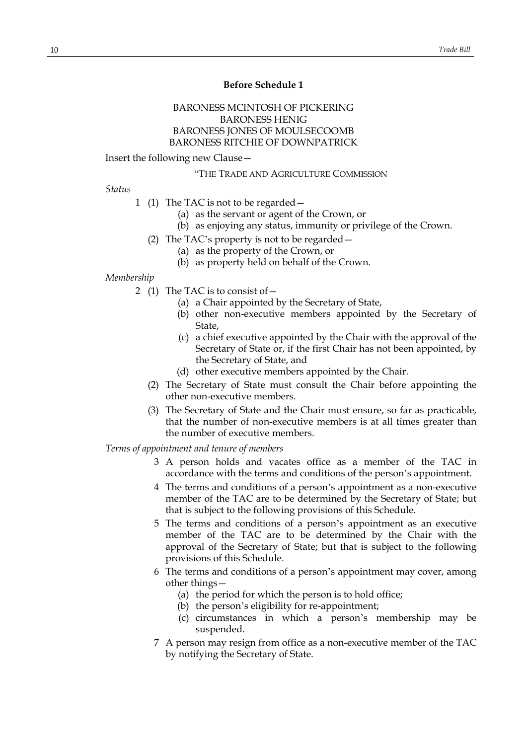# **Before Schedule 1**

# BARONESS MCINTOSH OF PICKERING BARONESS HENIG BARONESS JONES OF MOULSECOOMB BARONESS RITCHIE OF DOWNPATRICK

#### Insert the following new Clause—

#### "THE TRADE AND AGRICULTURE COMMISSION

# *Status*

- 1 (1) The TAC is not to be regarded—
	- (a) as the servant or agent of the Crown, or
	- (b) as enjoying any status, immunity or privilege of the Crown.
	- (2) The TAC's property is not to be regarded—
		- (a) as the property of the Crown, or
		- (b) as property held on behalf of the Crown.

#### *Membership*

- 2 (1) The TAC is to consist of—
	- (a) a Chair appointed by the Secretary of State,
	- (b) other non-executive members appointed by the Secretary of State,
	- (c) a chief executive appointed by the Chair with the approval of the Secretary of State or, if the first Chair has not been appointed, by the Secretary of State, and
	- (d) other executive members appointed by the Chair.
	- (2) The Secretary of State must consult the Chair before appointing the other non-executive members.
	- (3) The Secretary of State and the Chair must ensure, so far as practicable, that the number of non-executive members is at all times greater than the number of executive members.

## *Terms of appointment and tenure of members*

- 3 A person holds and vacates office as a member of the TAC in accordance with the terms and conditions of the person's appointment.
- 4 The terms and conditions of a person's appointment as a non-executive member of the TAC are to be determined by the Secretary of State; but that is subject to the following provisions of this Schedule.
- 5 The terms and conditions of a person's appointment as an executive member of the TAC are to be determined by the Chair with the approval of the Secretary of State; but that is subject to the following provisions of this Schedule.
- 6 The terms and conditions of a person's appointment may cover, among other things—
	- (a) the period for which the person is to hold office;
	- (b) the person's eligibility for re-appointment;
	- (c) circumstances in which a person's membership may be suspended.
- 7 A person may resign from office as a non-executive member of the TAC by notifying the Secretary of State.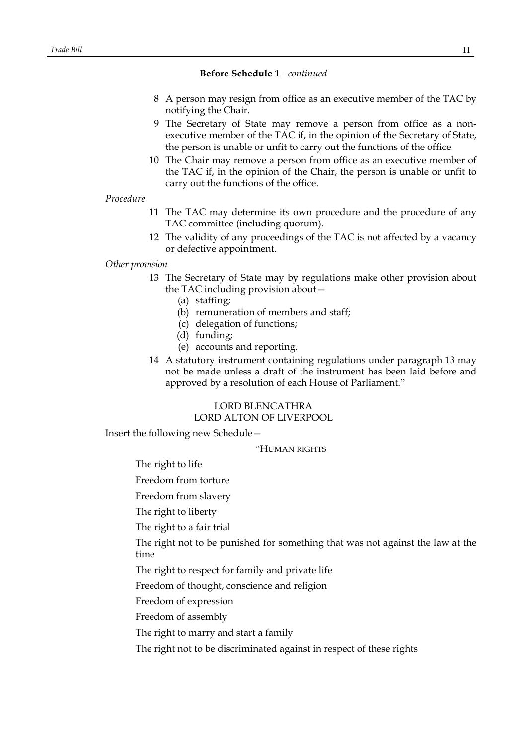# **Before Schedule 1** *- continued*

- 8 A person may resign from office as an executive member of the TAC by notifying the Chair.
- 9 The Secretary of State may remove a person from office as a nonexecutive member of the TAC if, in the opinion of the Secretary of State, the person is unable or unfit to carry out the functions of the office.
- 10 The Chair may remove a person from office as an executive member of the TAC if, in the opinion of the Chair, the person is unable or unfit to carry out the functions of the office.

#### *Procedure*

- 11 The TAC may determine its own procedure and the procedure of any TAC committee (including quorum).
- 12 The validity of any proceedings of the TAC is not affected by a vacancy or defective appointment.

# *Other provision*

- 13 The Secretary of State may by regulations make other provision about the TAC including provision about—
	- (a) staffing;
	- (b) remuneration of members and staff;
	- (c) delegation of functions;
	- (d) funding;
	- (e) accounts and reporting.
- 14 A statutory instrument containing regulations under paragraph 13 may not be made unless a draft of the instrument has been laid before and approved by a resolution of each House of Parliament."

# LORD BLENCATHRA LORD ALTON OF LIVERPOOL

Insert the following new Schedule—

"HUMAN RIGHTS

The right to life

Freedom from torture

Freedom from slavery

The right to liberty

The right to a fair trial

The right not to be punished for something that was not against the law at the time

The right to respect for family and private life

Freedom of thought, conscience and religion

Freedom of expression

Freedom of assembly

The right to marry and start a family

The right not to be discriminated against in respect of these rights